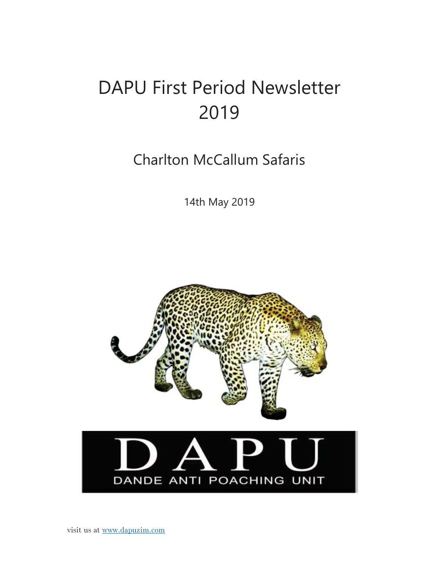# DAPU First Period Newsletter 2019

Charlton McCallum Safaris

14th May 2019

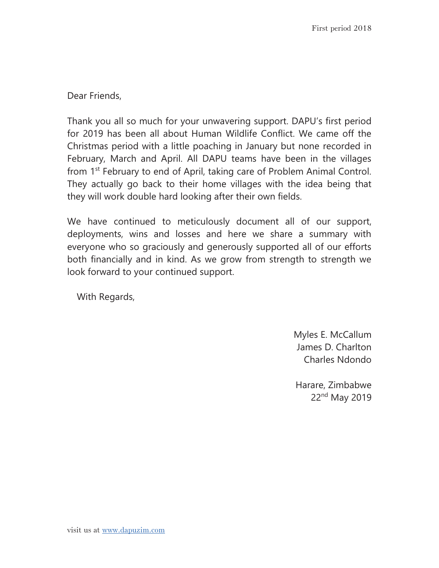Dear Friends,

Thank you all so much for your unwavering support. DAPU's first period for 2019 has been all about Human Wildlife Conflict. We came off the Christmas period with a little poaching in January but none recorded in February, March and April. All DAPU teams have been in the villages from 1<sup>st</sup> February to end of April, taking care of Problem Animal Control. They actually go back to their home villages with the idea being that they will work double hard looking after their own fields.

We have continued to meticulously document all of our support, deployments, wins and losses and here we share a summary with everyone who so graciously and generously supported all of our efforts both financially and in kind. As we grow from strength to strength we look forward to your continued support.

With Regards,

Myles E. McCallum James D. Charlton Charles Ndondo

Harare, Zimbabwe 22nd May 2019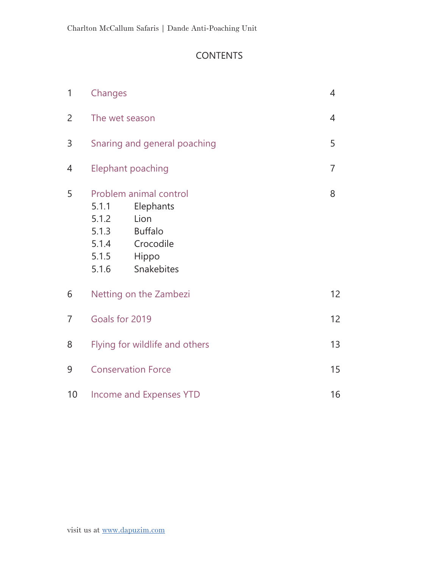# **CONTENTS**

| $\mathbf{1}$   | Changes                                            |                                                                                                   | $\overline{4}$  |
|----------------|----------------------------------------------------|---------------------------------------------------------------------------------------------------|-----------------|
| $\overline{2}$ |                                                    | The wet season                                                                                    | 4               |
| 3              |                                                    | Snaring and general poaching                                                                      | 5               |
| 4              |                                                    | <b>Elephant poaching</b>                                                                          | $\overline{7}$  |
| 5              | 5.1.1<br>5.1.2<br>5.1.3<br>5.1.4<br>5.1.5<br>5.1.6 | Problem animal control<br>Elephants<br>Lion<br><b>Buffalo</b><br>Crocodile<br>Hippo<br>Snakebites | 8               |
| 6              |                                                    | Netting on the Zambezi                                                                            | 12 <sup>2</sup> |
| $\overline{7}$ | Goals for 2019                                     |                                                                                                   | 12              |
| 8              |                                                    | Flying for wildlife and others                                                                    | 13              |
| 9              |                                                    | <b>Conservation Force</b>                                                                         | 15              |
| $10$           |                                                    | <b>Income and Expenses YTD</b>                                                                    | 16              |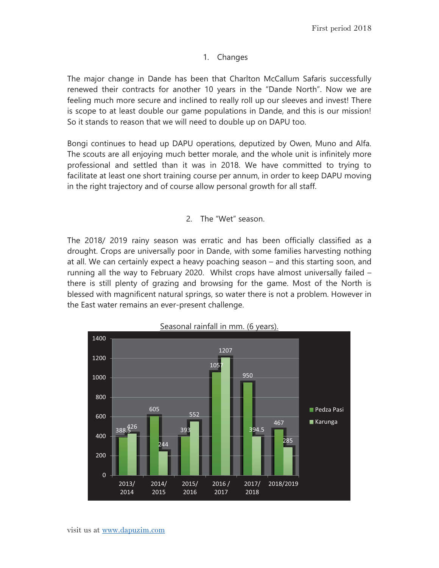### 1. Changes

The major change in Dande has been that Charlton McCallum Safaris successfully renewed their contracts for another 10 years in the "Dande North". Now we are feeling much more secure and inclined to really roll up our sleeves and invest! There is scope to at least double our game populations in Dande, and this is our mission! So it stands to reason that we will need to double up on DAPU too.

Bongi continues to head up DAPU operations, deputized by Owen, Muno and Alfa. The scouts are all enjoying much better morale, and the whole unit is infinitely more professional and settled than it was in 2018. We have committed to trying to facilitate at least one short training course per annum, in order to keep DAPU moving in the right trajectory and of course allow personal growth for all staff.

### 2. The "Wet" season.

The 2018/ 2019 rainy season was erratic and has been officially classified as a drought. Crops are universally poor in Dande, with some families harvesting nothing at all. We can certainly expect a heavy poaching season – and this starting soon, and running all the way to February 2020. Whilst crops have almost universally failed – there is still plenty of grazing and browsing for the game. Most of the North is blessed with magnificent natural springs, so water there is not a problem. However in the East water remains an ever-present challenge.

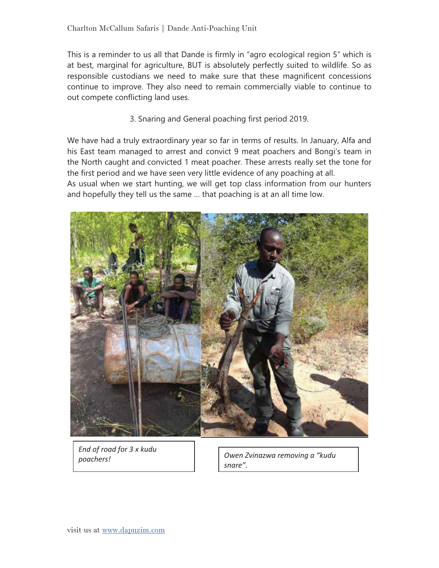This is a reminder to us all that Dande is firmly in "agro ecological region 5" which is at best, marginal for agriculture, BUT is absolutely perfectly suited to wildlife. So as responsible custodians we need to make sure that these magnificent concessions continue to improve. They also need to remain commercially viable to continue to out compete conflicting land uses.

3. Snaring and General poaching first period 2019.

We have had a truly extraordinary year so far in terms of results. In January, Alfa and his East team managed to arrest and convict 9 meat poachers and Bongi's team in the North caught and convicted 1 meat poacher. These arrests really set the tone for the first period and we have seen very little evidence of any poaching at all.

As usual when we start hunting, we will get top class information from our hunters and hopefully they tell us the same … that poaching is at an all time low.



*End of road for 3 x kudu* 

*poachers! Owen Zvinazwa removing a "kudu snare".*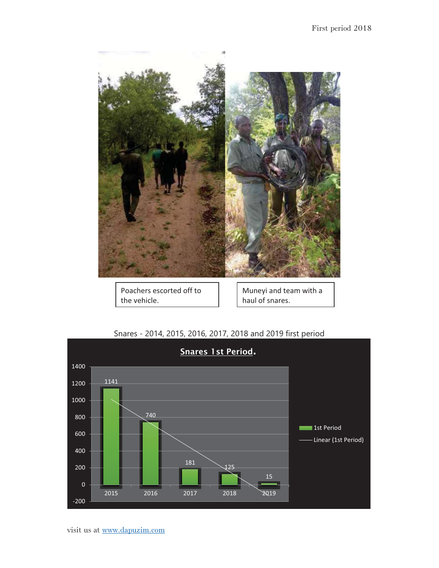

Poachers escorted off to the vehicle.

Muneyi and team with a haul of snares.



### Snares - 2014, 2015, 2016, 2017, 2018 and 2019 first period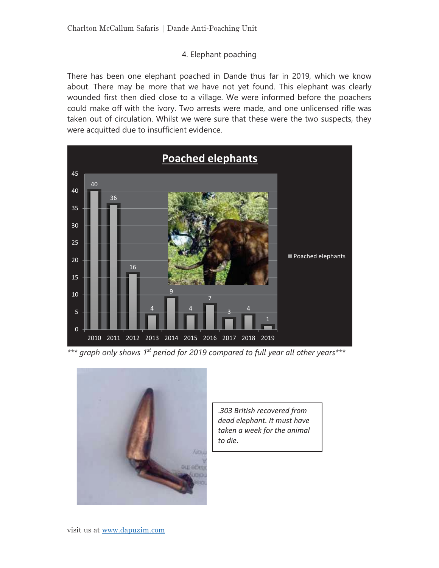### 4. Elephant poaching

There has been one elephant poached in Dande thus far in 2019, which we know about. There may be more that we have not yet found. This elephant was clearly wounded first then died close to a village. We were informed before the poachers could make off with the ivory. Two arrests were made, and one unlicensed rifle was taken out of circulation. Whilst we were sure that these were the two suspects, they were acquitted due to insufficient evidence.



*\*\*\* graph only shows 1st period for 2019 compared to full year all other years\*\*\** 



.*303 British recovered from dead elephant. It must have taken a week for the animal to die*.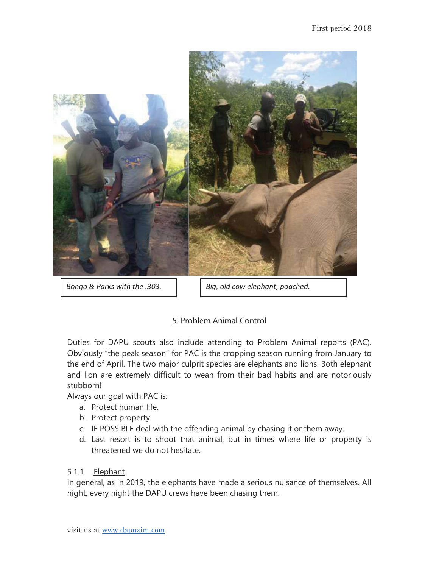

*Bongo & Parks with the .303.* | Big, old cow elephant, poached.

# 5. Problem Animal Control

Duties for DAPU scouts also include attending to Problem Animal reports (PAC). Obviously "the peak season" for PAC is the cropping season running from January to the end of April. The two major culprit species are elephants and lions. Both elephant and lion are extremely difficult to wean from their bad habits and are notoriously stubborn!

Always our goal with PAC is:

- a. Protect human life.
- b. Protect property.
- c. IF POSSIBLE deal with the offending animal by chasing it or them away.
- d. Last resort is to shoot that animal, but in times where life or property is threatened we do not hesitate.

### 5.1.1 Elephant.

In general, as in 2019, the elephants have made a serious nuisance of themselves. All night, every night the DAPU crews have been chasing them.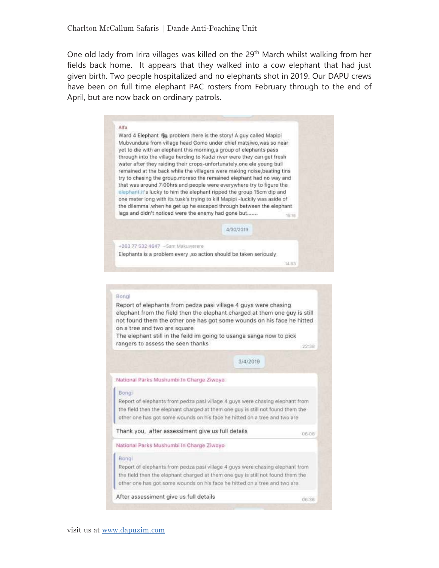One old lady from Irira villages was killed on the 29<sup>th</sup> March whilst walking from her fields back home. It appears that they walked into a cow elephant that had just given birth. Two people hospitalized and no elephants shot in 2019. Our DAPU crews have been on full time elephant PAC rosters from February through to the end of April, but are now back on ordinary patrols.

### Alfa

Ward 4 Elephant @ problem : here is the story! A guy called Mapipi Mubvundura from village head Gomo under chief matsiwo, was so near yet to die with an elephant this morning, a group of elephants pass through into the village herding to Kadzi river were they can get fresh water after they raiding their crops-unfortunately, one ele young bull remained at the back while the villagers were making noise, beating tins try to chasing the group.moreso the remained elephant had no way and that was around 7:00hrs and people were everywhere try to figure the elephant it's lucky to him the elephant ripped the group 15cm dip and one meter long with its tusk's trying to kill Mapipi -luckily was aside of the dilemma .when he get up he escaped through between the elephant legs and didn't noticed were the enemy had gone but....... 16:18

4/30/2019

 $3/4/2019$ 

+263.77.532.4647 -Sam Makuwerere

Elephants is a problem every , so action should be taken seriously

14:03

### Bongi

Report of elephants from pedza pasi village 4 guys were chasing elephant from the field then the elephant charged at them one guy is still not found them the other one has got some wounds on his face he hitted on a tree and two are square The elephant still in the feild im going to usanga sanga now to pick rangers to assess the seen thanks

22:38

06:06

06:36

National Parks Mushumbi In Charge Ziwoyo

#### Bongi

Report of elephants from pedza pasi village 4 guys were chasing elephant from the field then the elephant charged at them one guy is still not found them the other one has got some wounds on his face he hitted on a tree and two are

Thank you, after assessiment give us full details

### National Parks Mushumbi In Charge Ziwoyo

### Bong

Report of elephants from pedza pasi village 4 guys were chasing elephant from the field then the elephant charged at them one guy is still not found them the other one has got some wounds on his face he hitted on a tree and two are

After assessiment give us full details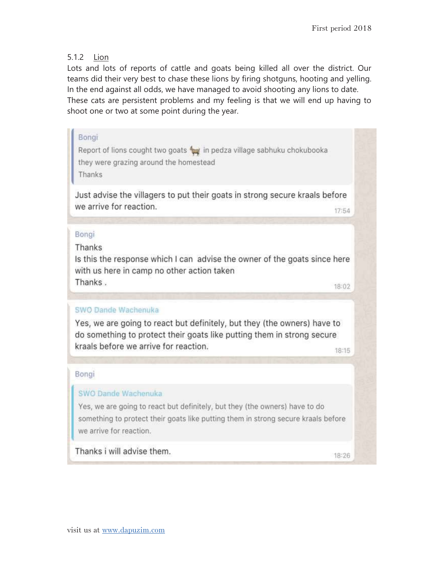### 5.1.2 Lion

Lots and lots of reports of cattle and goats being killed all over the district. Our teams did their very best to chase these lions by firing shotguns, hooting and yelling. In the end against all odds, we have managed to avoid shooting any lions to date. These cats are persistent problems and my feeling is that we will end up having to shoot one or two at some point during the year.

# Bongi Report of lions cought two goats twin pedza village sabhuku chokubooka they were grazing around the homestead Thanks Just advise the villagers to put their goats in strong secure kraals before we arrive for reaction. 17:54 Bongi Thanks Is this the response which I can advise the owner of the goats since here with us here in camp no other action taken Thanks. 18:02 SWO Dande Wachenuka Yes, we are going to react but definitely, but they (the owners) have to do something to protect their goats like putting them in strong secure kraals before we arrive for reaction. 18:15 Bongi SWO Dande Wachenuka Yes, we are going to react but definitely, but they (the owners) have to do

something to protect their goats like putting them in strong secure kraals before we arrive for reaction.

Thanks i will advise them.

18:26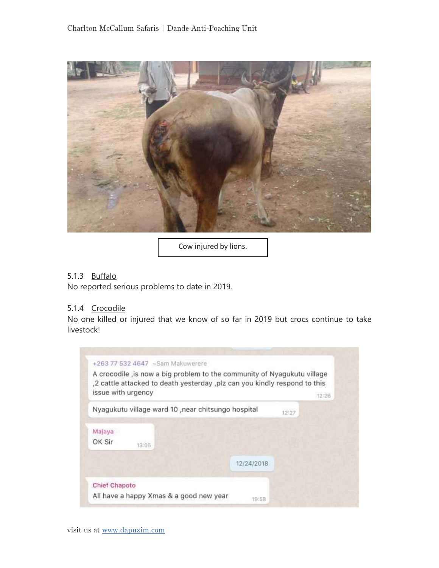

Cow injured by lions.

### 5.1.3 Buffalo

No reported serious problems to date in 2019.

### 5.1.4 Crocodile

No one killed or injured that we know of so far in 2019 but crocs continue to take livestock!

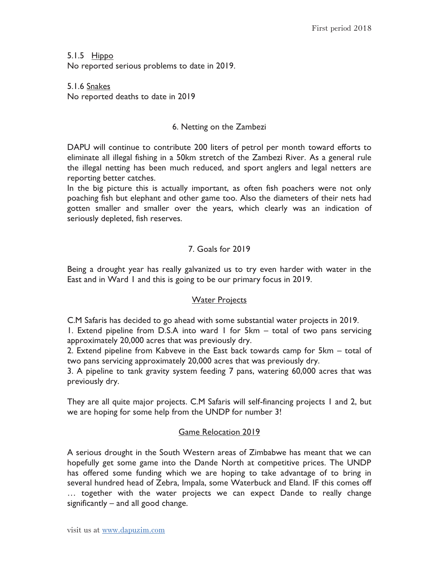5.1.5 Hippo No reported serious problems to date in 2019.

5.1.6 Snakes No reported deaths to date in 2019

### 6. Netting on the Zambezi

DAPU will continue to contribute 200 liters of petrol per month toward efforts to eliminate all illegal fishing in a 50km stretch of the Zambezi River. As a general rule the illegal netting has been much reduced, and sport anglers and legal netters are reporting better catches.

In the big picture this is actually important, as often fish poachers were not only poaching fish but elephant and other game too. Also the diameters of their nets had gotten smaller and smaller over the years, which clearly was an indication of seriously depleted, fish reserves.

# 7. Goals for 2019

Being a drought year has really galvanized us to try even harder with water in the East and in Ward 1 and this is going to be our primary focus in 2019.

### Water Projects

C.M Safaris has decided to go ahead with some substantial water projects in 2019. 1. Extend pipeline from D.S.A into ward 1 for 5km – total of two pans servicing approximately 20,000 acres that was previously dry.

2. Extend pipeline from Kabveve in the East back towards camp for 5km – total of two pans servicing approximately 20,000 acres that was previously dry.

3. A pipeline to tank gravity system feeding 7 pans, watering 60,000 acres that was previously dry.

They are all quite major projects. C.M Safaris will self-financing projects 1 and 2, but we are hoping for some help from the UNDP for number 3!

# Game Relocation 2019

A serious drought in the South Western areas of Zimbabwe has meant that we can hopefully get some game into the Dande North at competitive prices. The UNDP has offered some funding which we are hoping to take advantage of to bring in several hundred head of Zebra, Impala, some Waterbuck and Eland. IF this comes off … together with the water projects we can expect Dande to really change significantly – and all good change.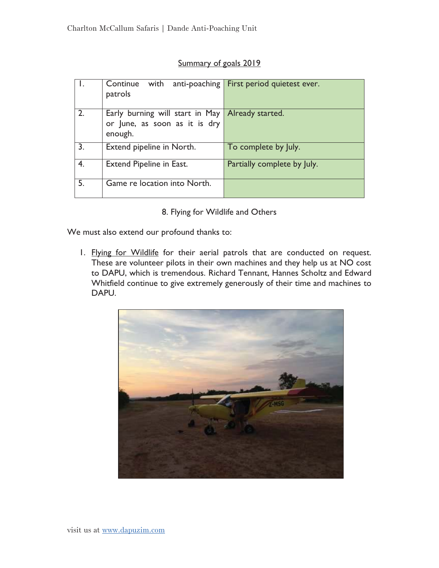### Summary of goals 2019

|    | Continue<br>with<br>anti-poaching<br>patrols                                                 | First period quietest ever. |
|----|----------------------------------------------------------------------------------------------|-----------------------------|
| 2. | Early burning will start in May Already started.<br>or June, as soon as it is dry<br>enough. |                             |
| 3. | Extend pipeline in North.                                                                    | To complete by July.        |
| 4. | <b>Extend Pipeline in East.</b>                                                              | Partially complete by July. |
| 5. | Game re location into North.                                                                 |                             |

8. Flying for Wildlife and Others

We must also extend our profound thanks to:

1. Flying for Wildlife for their aerial patrols that are conducted on request. These are volunteer pilots in their own machines and they help us at NO cost to DAPU, which is tremendous. Richard Tennant, Hannes Scholtz and Edward Whitfield continue to give extremely generously of their time and machines to DAPU.

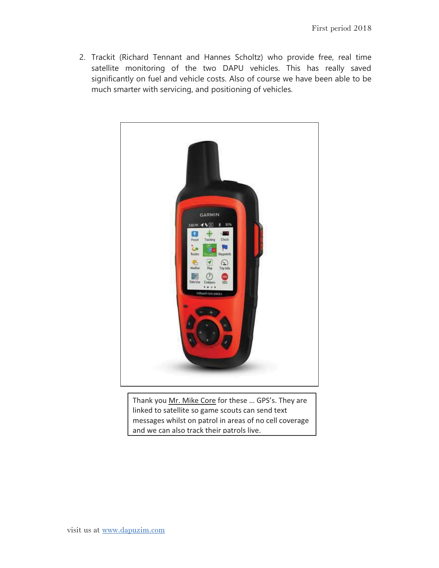2. Trackit (Richard Tennant and Hannes Scholtz) who provide free, real time satellite monitoring of the two DAPU vehicles. This has really saved significantly on fuel and vehicle costs. Also of course we have been able to be much smarter with servicing, and positioning of vehicles.



Thank you Mr. Mike Core for these ... GPS's. They are linked to satellite so game scouts can send text messages whilst on patrol in areas of no cell coverage and we can also track their patrols live.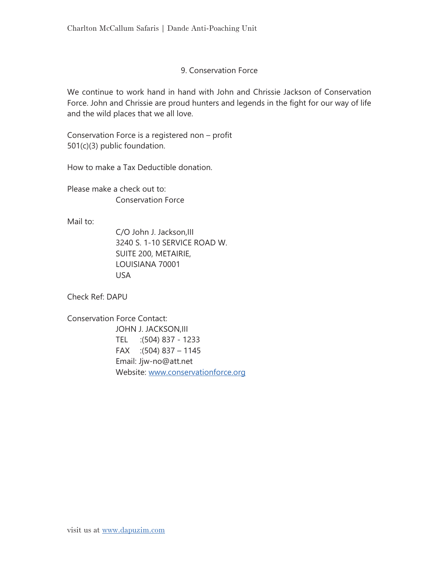### 9. Conservation Force

We continue to work hand in hand with John and Chrissie Jackson of Conservation Force. John and Chrissie are proud hunters and legends in the fight for our way of life and the wild places that we all love.

Conservation Force is a registered non – profit 501(c)(3) public foundation.

How to make a Tax Deductible donation.

Please make a check out to: Conservation Force

Mail to:

C/O John J. Jackson,III 3240 S. 1-10 SERVICE ROAD W. SUITE 200, METAIRIE, LOUISIANA 70001 USA

Check Ref: DAPU

Conservation Force Contact: JOHN J. JACKSON,III TEL :(504) 837 - 1233 FAX :(504) 837 – 1145 Email: Jjw-no@att.net Website: www.conservationforce.org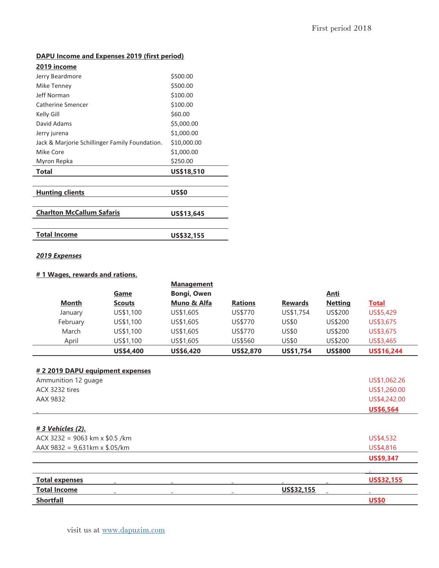### **DAPU Income and Expenses 2019 (first period)**

| <u>2019 income</u>                             |              |
|------------------------------------------------|--------------|
| Jerry Beardmore                                | \$500.00     |
| Mike Tenney                                    | \$500.00     |
| Jeff Norman                                    | \$100.00     |
| Catherine Smencer                              | \$100.00     |
| Kelly Gill                                     | \$60.00      |
| David Adams                                    | \$5,000.00   |
| Jerry jurena                                   | \$1,000.00   |
| Jack & Marjorie Schillinger Family Foundation. | \$10,000.00  |
| Mike Core                                      | \$1,000.00   |
| Myron Repka                                    | \$250.00     |
| Total                                          | US\$18,510   |
| <b>Hunting clients</b>                         | <b>US\$0</b> |
|                                                |              |
| <b>Charlton McCallum Safaris</b>               | US\$13,645   |
| <b>Total Income</b>                            | US\$32,155   |

### *2019 Expenses*

### **# 1 Wages, rewards and rations.**

|          |               | <b>Management</b>  |                |                |                |                   |
|----------|---------------|--------------------|----------------|----------------|----------------|-------------------|
|          | <u>Game</u>   | <b>Bongi, Owen</b> |                |                | <u>Anti</u>    |                   |
| Month    | <b>Scouts</b> | Muno & Alfa        | <b>Rations</b> | <b>Rewards</b> | <b>Netting</b> | <b>Total</b>      |
| January  | US\$1,100     | US\$1,605          | US\$770        | US\$1,754      | US\$200        | US\$5,429         |
| February | US\$1,100     | US\$1,605          | US\$770        | US\$0          | US\$200        | US\$3,675         |
| March    | US\$1,100     | US\$1,605          | US\$770        | US\$0          | US\$200        | US\$3,675         |
| April    | US\$1,100     | US\$1,605          | US\$560        | US\$0          | US\$200        | US\$3,465         |
|          | US\$4,400     | <b>US\$6,420</b>   | US\$2,870      | US\$1,754      | <b>US\$800</b> | <b>US\$16,244</b> |

| <b>Shortfall</b>                    |            | <b>US\$0</b>     |
|-------------------------------------|------------|------------------|
| <b>Total Income</b>                 | US\$32,155 |                  |
| <b>Total expenses</b>               |            | US\$32,155       |
|                                     |            |                  |
|                                     |            | <b>US\$9,347</b> |
| AAX 9832 = $9,631km \times $.05/km$ |            | US\$4,816        |
| ACX 3232 = 9063 km x $$0.5$ /km     |            | US\$4,532        |
| # 3 Vehicles (2).                   |            |                  |
|                                     |            |                  |
|                                     |            | US\$6,564        |
| AAX 9832                            |            | US\$4,242.00     |
| ACX 3232 tires                      |            | US\$1,260.00     |
| Ammunition 12 guage                 |            | US\$1,062.26     |
| # 2 2019 DAPU equipment expenses    |            |                  |